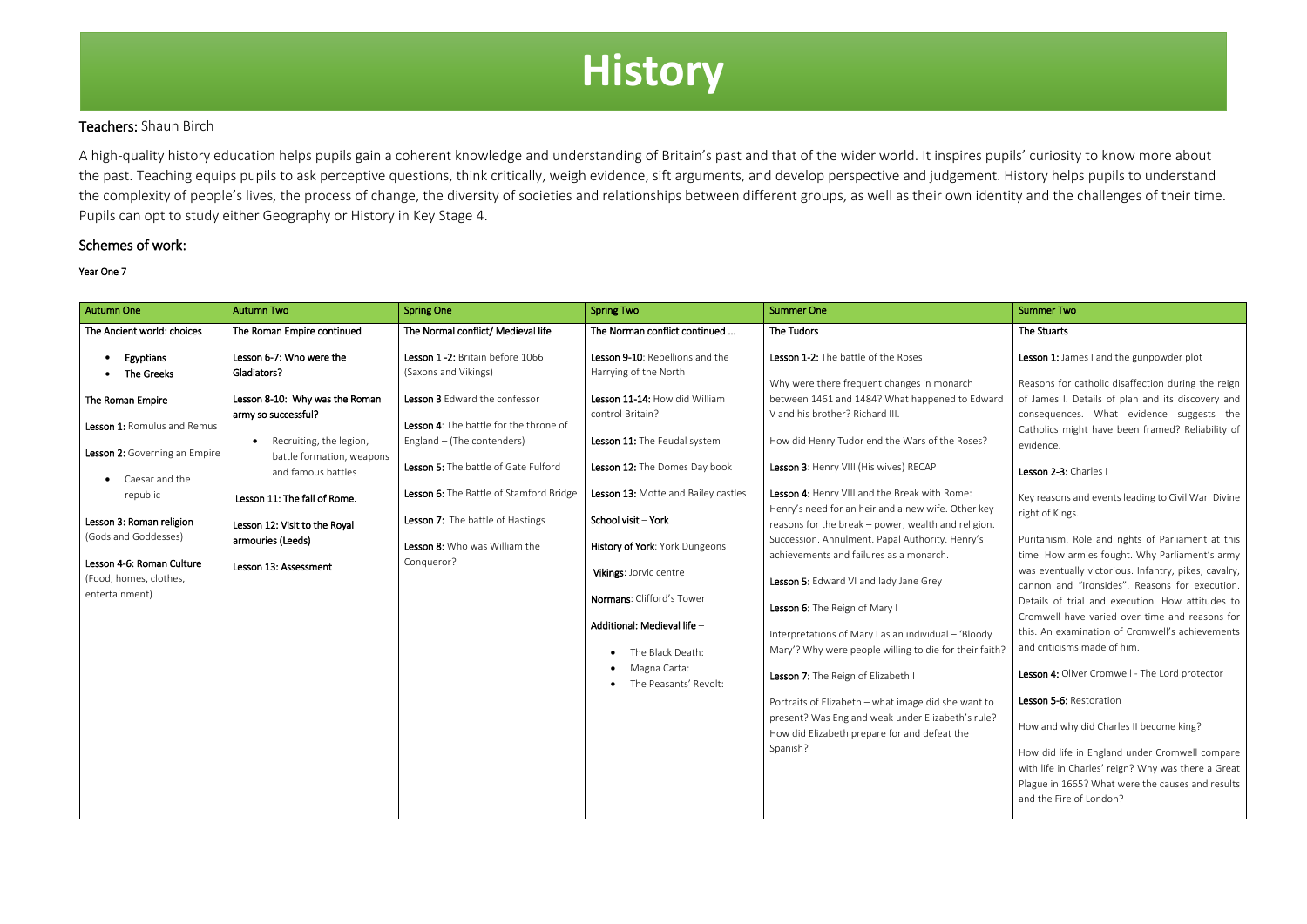## Teachers: Shaun Birch

A high-quality history education helps pupils gain a coherent knowledge and understanding of Britain's past and that of the wider world. It inspires pupils' curiosity to know more about the past. Teaching equips pupils to ask perceptive questions, think critically, weigh evidence, sift arguments, and develop perspective and judgement. History helps pupils to understand the complexity of people's lives, the process of change, the diversity of societies and relationships between different groups, as well as their own identity and the challenges of their time. Pupils can opt to study either Geography or History in Key Stage 4.

## Schemes of work:

#### Year One 7

| Autumn One                                                                                                                                                                                                                                                | <b>Autumn Two</b>                                                                                                                                                                                                                                                              | <b>Spring One</b>                                                                                                                                                                                                                                                                                   | <b>Spring Two</b>                                                                                                                                                                                                                                                                                                                                                                                           | <b>Summer One</b>                                                                                                                                                                                                                                                                                                                                                                                                                                                                                                                                                                                                                                                                                                                                                                                                                                                                                  | <b>Summer Two</b>                                                                                                                                                                                                                                                                                                                                                                                                                                                                                                                                                                                                                                                                                                                                                                                                                                                                                          |
|-----------------------------------------------------------------------------------------------------------------------------------------------------------------------------------------------------------------------------------------------------------|--------------------------------------------------------------------------------------------------------------------------------------------------------------------------------------------------------------------------------------------------------------------------------|-----------------------------------------------------------------------------------------------------------------------------------------------------------------------------------------------------------------------------------------------------------------------------------------------------|-------------------------------------------------------------------------------------------------------------------------------------------------------------------------------------------------------------------------------------------------------------------------------------------------------------------------------------------------------------------------------------------------------------|----------------------------------------------------------------------------------------------------------------------------------------------------------------------------------------------------------------------------------------------------------------------------------------------------------------------------------------------------------------------------------------------------------------------------------------------------------------------------------------------------------------------------------------------------------------------------------------------------------------------------------------------------------------------------------------------------------------------------------------------------------------------------------------------------------------------------------------------------------------------------------------------------|------------------------------------------------------------------------------------------------------------------------------------------------------------------------------------------------------------------------------------------------------------------------------------------------------------------------------------------------------------------------------------------------------------------------------------------------------------------------------------------------------------------------------------------------------------------------------------------------------------------------------------------------------------------------------------------------------------------------------------------------------------------------------------------------------------------------------------------------------------------------------------------------------------|
| The Ancient world: choices                                                                                                                                                                                                                                | The Roman Empire continued                                                                                                                                                                                                                                                     | The Normal conflict/ Medieval life                                                                                                                                                                                                                                                                  | The Norman conflict continued                                                                                                                                                                                                                                                                                                                                                                               | The Tudors                                                                                                                                                                                                                                                                                                                                                                                                                                                                                                                                                                                                                                                                                                                                                                                                                                                                                         | The Stuarts                                                                                                                                                                                                                                                                                                                                                                                                                                                                                                                                                                                                                                                                                                                                                                                                                                                                                                |
| Egyptians                                                                                                                                                                                                                                                 | Lesson 6-7: Who were the                                                                                                                                                                                                                                                       | Lesson 1 -2: Britain before 1066                                                                                                                                                                                                                                                                    | Lesson 9-10: Rebellions and the                                                                                                                                                                                                                                                                                                                                                                             | Lesson 1-2: The battle of the Roses                                                                                                                                                                                                                                                                                                                                                                                                                                                                                                                                                                                                                                                                                                                                                                                                                                                                | Lesson 1: James I and the gunpowder plot                                                                                                                                                                                                                                                                                                                                                                                                                                                                                                                                                                                                                                                                                                                                                                                                                                                                   |
| The Greeks<br>The Roman Empire<br>Lesson 1: Romulus and Remus<br>Lesson 2: Governing an Empire<br>Caesar and the<br>republic<br>Lesson 3: Roman religion<br>(Gods and Goddesses)<br>Lesson 4-6: Roman Culture<br>(Food, homes, clothes,<br>entertainment) | Gladiators?<br>Lesson 8-10: Why was the Roman<br>army so successful?<br>Recruiting, the legion,<br>$\bullet$<br>battle formation, weapons<br>and famous battles<br>Lesson 11: The fall of Rome.<br>Lesson 12: Visit to the Royal<br>armouries (Leeds)<br>Lesson 13: Assessment | (Saxons and Vikings)<br>Lesson 3 Edward the confessor<br>Lesson 4: The battle for the throne of<br>England - (The contenders)<br>Lesson 5: The battle of Gate Fulford<br>Lesson 6: The Battle of Stamford Bridge<br>Lesson 7: The battle of Hastings<br>Lesson 8: Who was William the<br>Conqueror? | Harrying of the North<br>Lesson 11-14: How did William<br>control Britain?<br>Lesson 11: The Feudal system<br>Lesson 12: The Domes Day book<br>Lesson 13: Motte and Bailey castles<br>School visit - York<br>History of York: York Dungeons<br>Vikings: Jorvic centre<br>Normans: Clifford's Tower<br>Additional: Medieval life -<br>The Black Death:<br>$\bullet$<br>Magna Carta:<br>The Peasants' Revolt: | Why were there frequent changes in monarch<br>between 1461 and 1484? What happened to Edward<br>V and his brother? Richard III.<br>How did Henry Tudor end the Wars of the Roses?<br>Lesson 3: Henry VIII (His wives) RECAP<br>Lesson 4: Henry VIII and the Break with Rome:<br>Henry's need for an heir and a new wife. Other key<br>reasons for the break - power, wealth and religion.<br>Succession. Annulment. Papal Authority. Henry's<br>achievements and failures as a monarch.<br>Lesson 5: Edward VI and lady Jane Grey<br>Lesson 6: The Reign of Mary I<br>Interpretations of Mary I as an individual - 'Bloody<br>Mary'? Why were people willing to die for their faith?<br>Lesson 7: The Reign of Elizabeth I<br>Portraits of Elizabeth - what image did she want to<br>present? Was England weak under Elizabeth's rule?<br>How did Elizabeth prepare for and defeat the<br>Spanish? | Reasons for catholic disaffection during the reign<br>of James I. Details of plan and its discovery and<br>consequences. What evidence suggests the<br>Catholics might have been framed? Reliability of<br>evidence.<br>Lesson 2-3: Charles I<br>Key reasons and events leading to Civil War. Divine<br>right of Kings.<br>Puritanism. Role and rights of Parliament at this<br>time. How armies fought. Why Parliament's army<br>was eventually victorious. Infantry, pikes, cavalry,<br>cannon and "Ironsides". Reasons for execution.<br>Details of trial and execution. How attitudes to<br>Cromwell have varied over time and reasons for<br>this. An examination of Cromwell's achievements<br>and criticisms made of him.<br>Lesson 4: Oliver Cromwell - The Lord protector<br>Lesson 5-6: Restoration<br>How and why did Charles II become king?<br>How did life in England under Cromwell compare |
|                                                                                                                                                                                                                                                           |                                                                                                                                                                                                                                                                                |                                                                                                                                                                                                                                                                                                     |                                                                                                                                                                                                                                                                                                                                                                                                             |                                                                                                                                                                                                                                                                                                                                                                                                                                                                                                                                                                                                                                                                                                                                                                                                                                                                                                    | with life in Charles' reign? Why was there a Great<br>Plague in 1665? What were the causes and results<br>and the Fire of London?                                                                                                                                                                                                                                                                                                                                                                                                                                                                                                                                                                                                                                                                                                                                                                          |

# **History**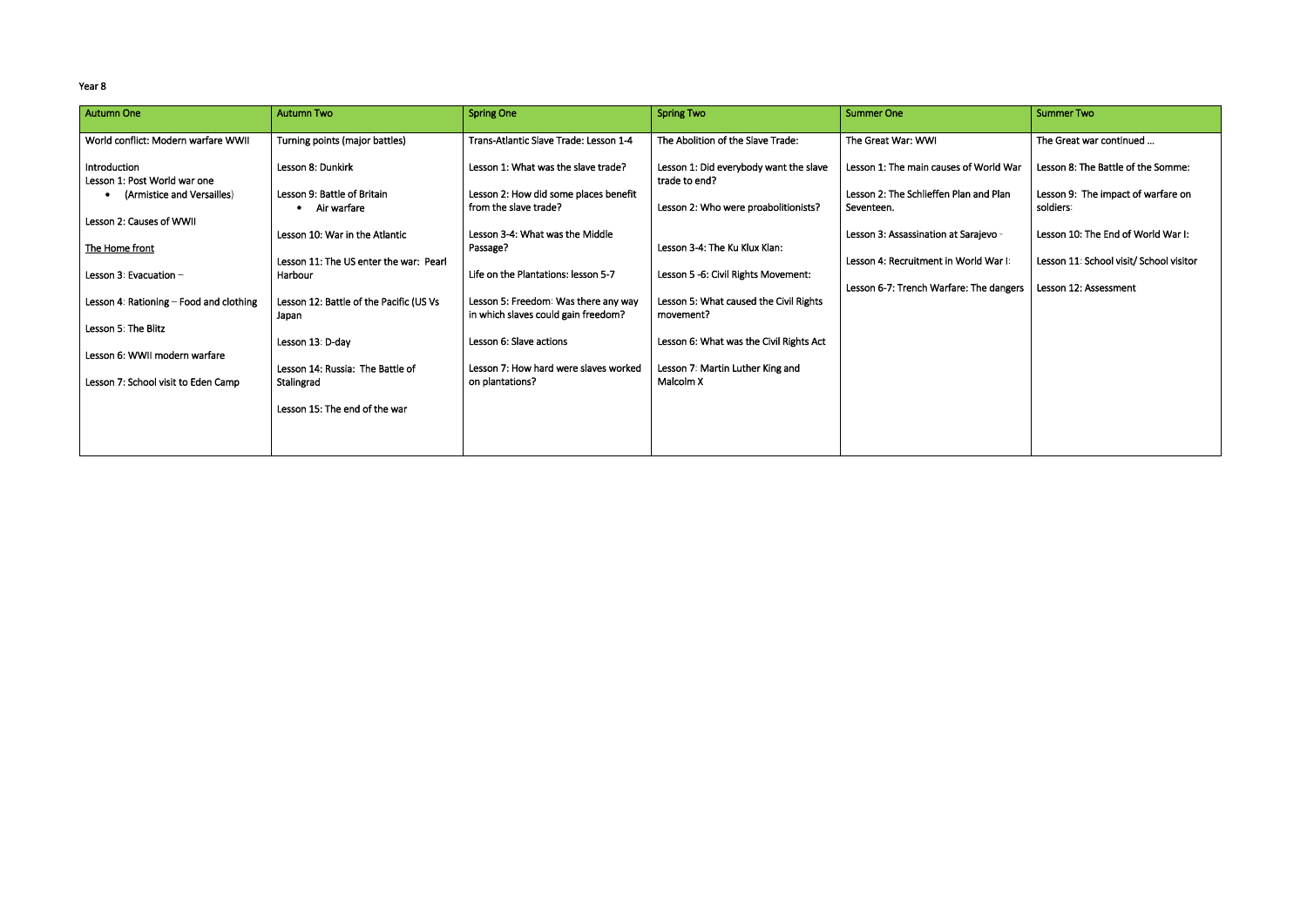#### Year 8

| <b>Autumn One</b>                            | <b>Autumn Two</b>                                | <b>Spring One</b>                                                           | <b>Spring Two</b>                                       | <b>Summer One</b>                                    | <b>Summer Two</b>                               |
|----------------------------------------------|--------------------------------------------------|-----------------------------------------------------------------------------|---------------------------------------------------------|------------------------------------------------------|-------------------------------------------------|
| World conflict: Modern warfare WWII          | Turning points (major battles)                   | Trans-Atlantic Slave Trade: Lesson 1-4                                      | The Abolition of the Slave Trade:                       | The Great War: WWI                                   | The Great war continued                         |
| Introduction<br>Lesson 1: Post World war one | Lesson 8: Dunkirk                                | Lesson 1: What was the slave trade?                                         | Lesson 1: Did everybody want the slave<br>trade to end? | Lesson 1: The main causes of World War               | Lesson 8: The Battle of the Somme:              |
| (Armistice and Versailles)                   | Lesson 9: Battle of Britain<br>Air warfare       | Lesson 2: How did some places benefit<br>from the slave trade?              | Lesson 2: Who were proabolitionists?                    | Lesson 2: The Schlieffen Plan and Plan<br>Seventeen. | Lesson 9: The impact of warfare on<br>soldiers: |
| Lesson 2: Causes of WWII                     | Lesson 10: War in the Atlantic                   | Lesson 3-4: What was the Middle                                             |                                                         | Lesson 3: Assassination at Sarajevo -                | Lesson 10: The End of World War I:              |
| The Home front                               | Lesson 11: The US enter the war: Pearl           | Passage?                                                                    | Lesson 3-4: The Ku Klux Klan:                           | Lesson 4: Recruitment in World War I:                | Lesson 11: School visit/ School visitor         |
| Lesson 3: Evacuation -                       | Harbour                                          | Life on the Plantations: lesson 5-7                                         | Lesson 5 -6: Civil Rights Movement:                     | Lesson 6-7: Trench Warfare: The dangers              | Lesson 12: Assessment                           |
| Lesson 4: Rationing - Food and clothing      | Lesson 12: Battle of the Pacific (US Vs<br>Japan | Lesson 5: Freedom: Was there any way<br>in which slaves could gain freedom? | Lesson 5: What caused the Civil Rights<br>movement?     |                                                      |                                                 |
| Lesson 5: The Blitz                          | Lesson 13: D-day                                 | Lesson 6: Slave actions                                                     | Lesson 6: What was the Civil Rights Act                 |                                                      |                                                 |
| Lesson 6: WWII modern warfare                | Lesson 14: Russia: The Battle of                 | Lesson 7: How hard were slaves worked                                       | Lesson 7: Martin Luther King and                        |                                                      |                                                 |
| Lesson 7: School visit to Eden Camp          | Stalingrad                                       | on plantations?                                                             | Malcolm X                                               |                                                      |                                                 |
|                                              | Lesson 15: The end of the war                    |                                                                             |                                                         |                                                      |                                                 |
|                                              |                                                  |                                                                             |                                                         |                                                      |                                                 |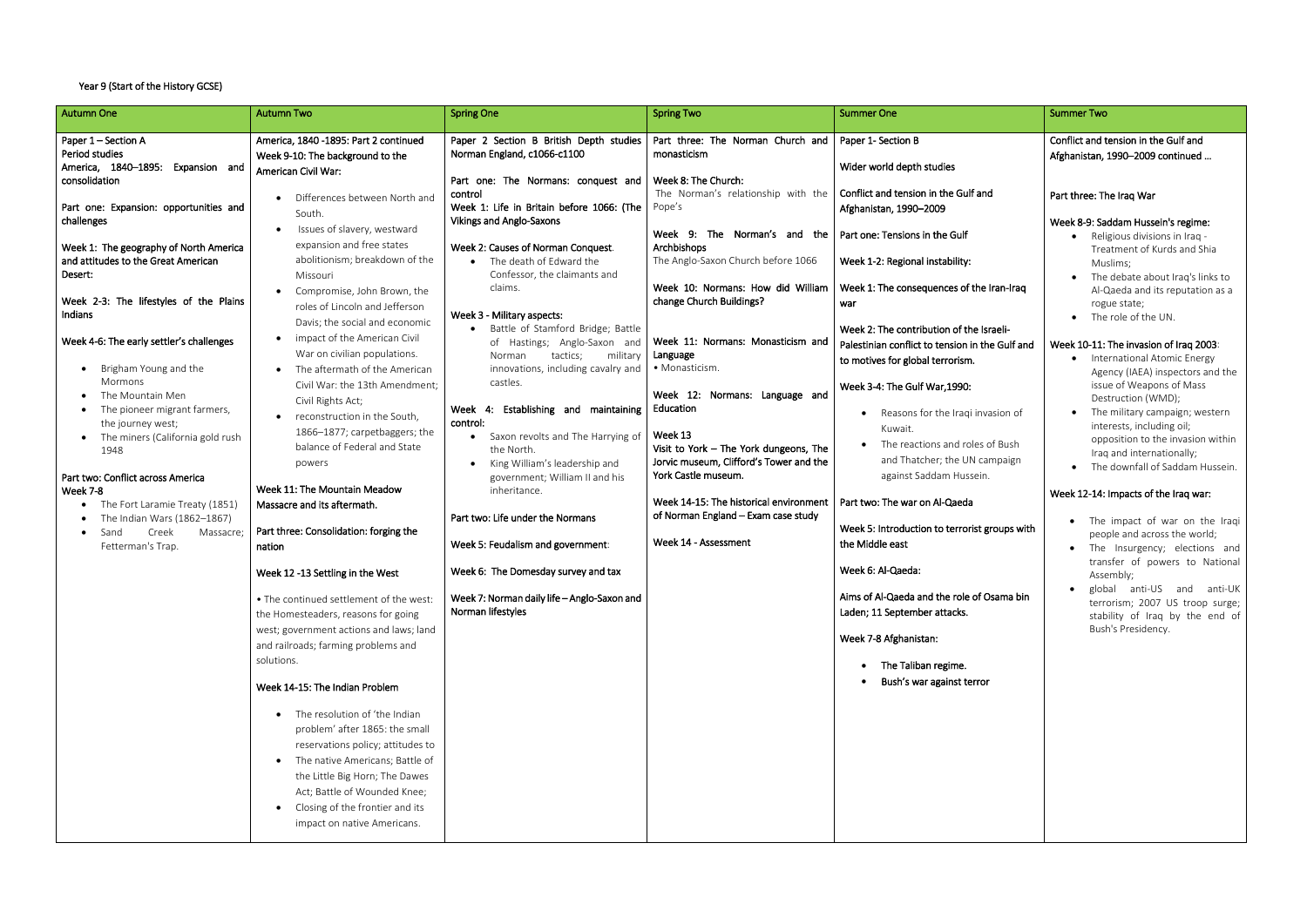### Year 9 (Start of the History GCSE)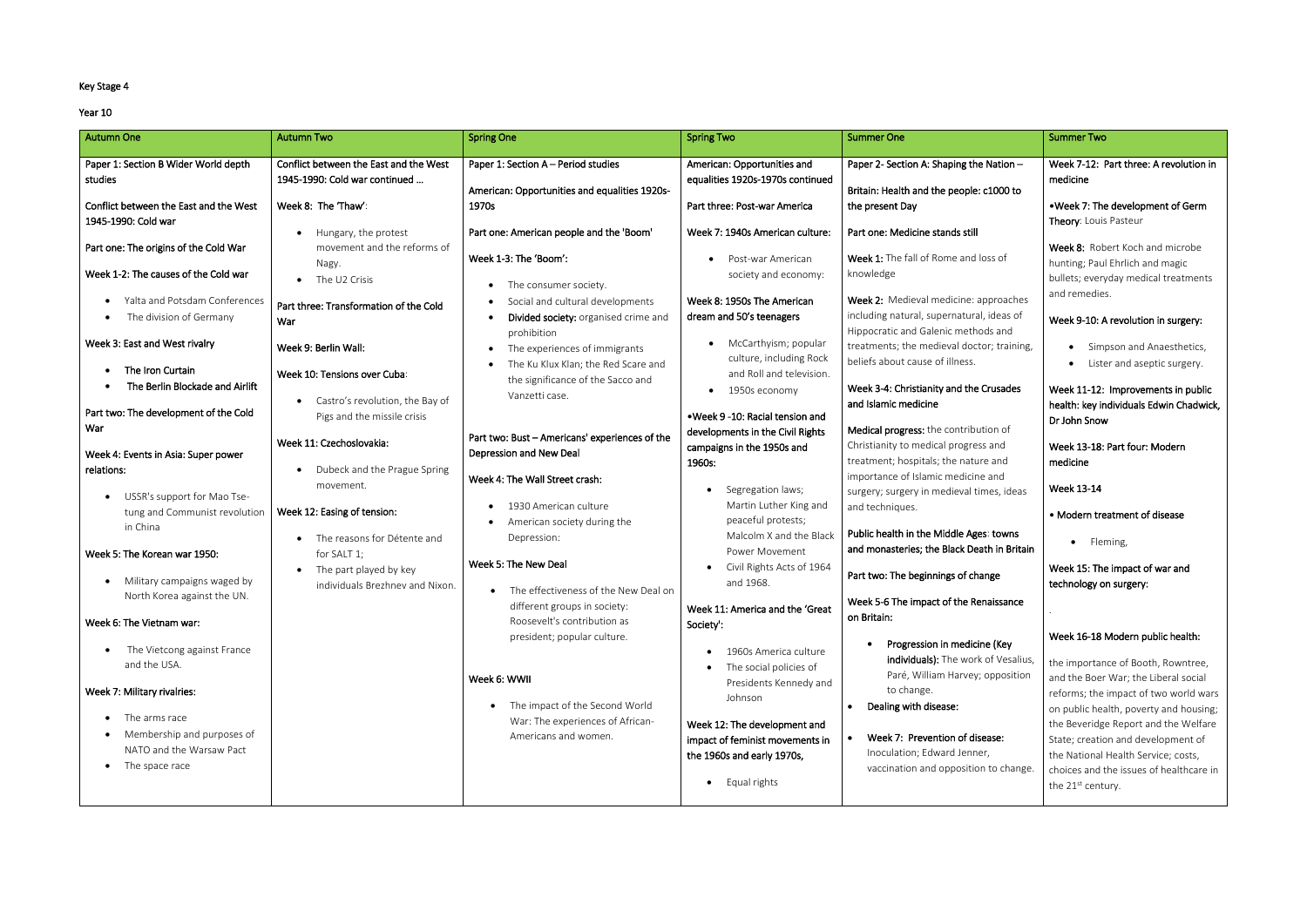## Key Stage 4

#### Year 10

| <b>Autumn One</b>                                                                         | <b>Autumn Two</b>                                                                              | <b>Spring One</b>                                                                    | <b>Spring Two</b>                                                                               | <b>Summer One</b>                                                                    | <b>Summer Two</b>                                                                                                       |
|-------------------------------------------------------------------------------------------|------------------------------------------------------------------------------------------------|--------------------------------------------------------------------------------------|-------------------------------------------------------------------------------------------------|--------------------------------------------------------------------------------------|-------------------------------------------------------------------------------------------------------------------------|
| Paper 1: Section B Wider World depth<br>studies<br>Conflict between the East and the West | Conflict between the East and the West<br>1945-1990: Cold war continued<br>Week 8: The 'Thaw': | Paper 1: Section A - Period studies<br>American: Opportunities and equalities 1920s- | American: Opportunities and<br>equalities 1920s-1970s continued<br>Part three: Post-war America | Paper 2- Section A: Shaping the Nation -<br>Britain: Health and the people: c1000 to | Week 7-12: Part three: A revolution in<br>medicine<br>. Week 7: The development of Germ                                 |
| 1945-1990: Cold war                                                                       | Hungary, the protest                                                                           | 1970s<br>Part one: American people and the 'Boom'                                    | Week 7: 1940s American culture:                                                                 | the present Day<br>Part one: Medicine stands still                                   | Theory: Louis Pasteur                                                                                                   |
| Part one: The origins of the Cold War                                                     | movement and the reforms of<br>Nagy.                                                           | Week 1-3: The 'Boom':                                                                | Post-war American<br>$\bullet$                                                                  | Week 1: The fall of Rome and loss of                                                 | Week 8: Robert Koch and microbe<br>hunting; Paul Ehrlich and magic                                                      |
| Week 1-2: The causes of the Cold war<br>Yalta and Potsdam Conferences                     | The U2 Crisis                                                                                  | The consumer society.<br>Social and cultural developments                            | society and economy:<br>Week 8: 1950s The American                                              | knowledge<br>Week 2: Medieval medicine: approaches                                   | bullets; everyday medical treatments<br>and remedies.                                                                   |
| The division of Germany                                                                   | Part three: Transformation of the Cold<br>War                                                  | Divided society: organised crime and<br>prohibition                                  | dream and 50's teenagers                                                                        | including natural, supernatural, ideas of<br>Hippocratic and Galenic methods and     | Week 9-10: A revolution in surgery:                                                                                     |
| Week 3: East and West rivalry<br>The Iron Curtain                                         | Week 9: Berlin Wall:                                                                           | The experiences of immigrants<br>The Ku Klux Klan; the Red Scare and                 | McCarthyism; popular<br>$\bullet$<br>culture, including Rock                                    | treatments; the medieval doctor; training,<br>beliefs about cause of illness.        | Simpson and Anaesthetics,<br>Lister and aseptic surgery.                                                                |
| The Berlin Blockade and Airlift                                                           | Week 10: Tensions over Cuba:<br>Castro's revolution, the Bay of                                | the significance of the Sacco and<br>Vanzetti case.                                  | and Roll and television.<br>1950s economy<br>$\bullet$                                          | Week 3-4: Christianity and the Crusades<br>and Islamic medicine                      | Week 11-12: Improvements in public                                                                                      |
| Part two: The development of the Cold<br>War                                              | Pigs and the missile crisis                                                                    | Part two: Bust - Americans' experiences of the                                       | • Week 9 -10: Racial tension and<br>developments in the Civil Rights                            | Medical progress: the contribution of                                                | health: key individuals Edwin Chadwick,<br>Dr John Snow                                                                 |
| Week 4: Events in Asia: Super power<br>relations:                                         | Week 11: Czechoslovakia:<br>Dubeck and the Prague Spring                                       | Depression and New Deal                                                              | campaigns in the 1950s and<br>1960s:                                                            | Christianity to medical progress and<br>treatment; hospitals; the nature and         | Week 13-18: Part four: Modern<br>medicine                                                                               |
| USSR's support for Mao Tse-                                                               | movement.                                                                                      | Week 4: The Wall Street crash:                                                       | Segregation laws;                                                                               | importance of Islamic medicine and<br>surgery; surgery in medieval times, ideas      | <b>Week 13-14</b>                                                                                                       |
| tung and Communist revolution<br>in China                                                 | Week 12: Easing of tension:<br>The reasons for Détente and                                     | 1930 American culture<br>American society during the<br>Depression:                  | Martin Luther King and<br>peaceful protests;<br>Malcolm X and the Black                         | and techniques.<br>Public health in the Middle Ages: towns                           | • Modern treatment of disease                                                                                           |
| Week 5: The Korean war 1950:                                                              | for SALT 1;<br>The part played by key                                                          | Week 5: The New Deal                                                                 | <b>Power Movement</b><br>Civil Rights Acts of 1964                                              | and monasteries; the Black Death in Britain                                          | · Fleming,<br>Week 15: The impact of war and                                                                            |
| Military campaigns waged by<br>North Korea against the UN.                                | individuals Brezhnev and Nixon.                                                                | The effectiveness of the New Deal on<br>different groups in society:                 | and 1968.                                                                                       | Part two: The beginnings of change<br>Week 5-6 The impact of the Renaissance         | technology on surgery:                                                                                                  |
| Week 6: The Vietnam war:                                                                  |                                                                                                | Roosevelt's contribution as<br>president; popular culture.                           | Week 11: America and the 'Great<br>Society':                                                    | on Britain:                                                                          | Week 16-18 Modern public health:                                                                                        |
| The Vietcong against France<br>and the USA.                                               |                                                                                                |                                                                                      | 1960s America culture<br>The social policies of                                                 | Progression in medicine (Key<br>individuals): The work of Vesalius,                  | the importance of Booth, Rowntree,                                                                                      |
| Week 7: Military rivalries:                                                               |                                                                                                | Week 6: WWII<br>The impact of the Second World                                       | Presidents Kennedy and<br>Johnson                                                               | Paré, William Harvey; opposition<br>to change.<br>Dealing with disease:              | and the Boer War; the Liberal social<br>reforms; the impact of two world wars<br>on public health, poverty and housing; |
| The arms race<br>Membership and purposes of                                               |                                                                                                | War: The experiences of African-<br>Americans and women.                             | Week 12: The development and<br>impact of feminist movements in                                 | Week 7: Prevention of disease:                                                       | the Beveridge Report and the Welfare<br>State; creation and development of                                              |
| NATO and the Warsaw Pact<br>The space race                                                |                                                                                                |                                                                                      | the 1960s and early 1970s,<br>• Equal rights                                                    | Inoculation; Edward Jenner,<br>vaccination and opposition to change.                 | the National Health Service; costs,<br>choices and the issues of healthcare in                                          |
|                                                                                           |                                                                                                |                                                                                      |                                                                                                 |                                                                                      | the 21 <sup>st</sup> century.                                                                                           |